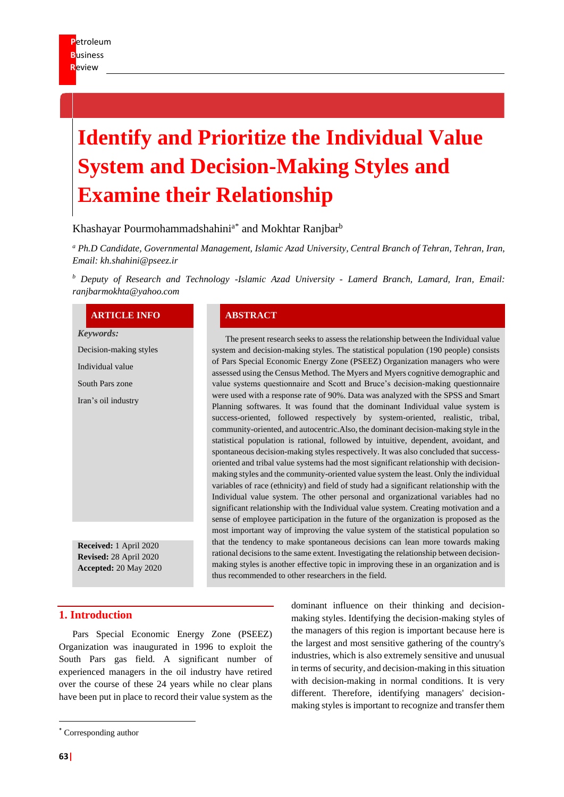# **Identify and Prioritize the Individual Value System and Decision-Making Styles and Examine their Relationship**

## Khashayar Pourmohammadshahini<sup>a\*</sup> and Mokhtar Ranjbar<sup>b</sup>

*<sup>a</sup> Ph.D Candidate, Governmental Management, Islamic Azad University, Central Branch of Tehran, Tehran, Iran, Email: kh.shahini@pseez.ir*

*<sup>b</sup> Deputy of Research and Technology -Islamic Azad University - Lamerd Branch, Lamard, Iran, Email: ranjbarmokhta@yahoo.com*

thus recommended to other researchers in the field.

The present research seeks to assess the relationship between the Individual value system and decision-making styles. The statistical population (190 people) consists of Pars Special Economic Energy Zone (PSEEZ) Organization managers who were assessed using the Census Method. The Myers and Myers cognitive demographic and value systems questionnaire and Scott and Bruce's decision-making questionnaire were used with a response rate of 90%. Data was analyzed with the SPSS and Smart Planning softwares. It was found that the dominant Individual value system is success-oriented, followed respectively by system-oriented, realistic, tribal, community-oriented, and autocentric.Also, the dominant decision-making style in the statistical population is rational, followed by intuitive, dependent, avoidant, and spontaneous decision-making styles respectively. It was also concluded that successoriented and tribal value systems had the most significant relationship with decisionmaking styles and the community-oriented value system the least. Only the individual variables of race (ethnicity) and field of study had a significant relationship with the Individual value system. The other personal and organizational variables had no significant relationship with the Individual value system. Creating motivation and a sense of employee participation in the future of the organization is proposed as the most important way of improving the value system of the statistical population so that the tendency to make spontaneous decisions can lean more towards making rational decisions to the same extent. Investigating the relationship between decisionmaking styles is another effective topic in improving these in an organization and is

### **ARTICLE INFO ABSTRACT**

*Keywords:* Decision-making styles Individual value South Pars zone Iran's oil industry

### **Received:** 1 April 2020 **Revised:** 28 April 2020 **Accepted:** 20 May 2020

### **1. Introduction**

Pars Special Economic Energy Zone (PSEEZ) Organization was inaugurated in 1996 to exploit the South Pars gas field. A significant number of experienced managers in the oil industry have retired over the course of these 24 years while no clear plans have been put in place to record their value system as the dominant influence on their thinking and decisionmaking styles. Identifying the decision-making styles of the managers of this region is important because here is the largest and most sensitive gathering of the country's industries, which is also extremely sensitive and unusual in terms of security, and decision-making in this situation with decision-making in normal conditions. It is very different. Therefore, identifying managers' decisionmaking styles is important to recognize and transfer them

<sup>\*</sup> Corresponding author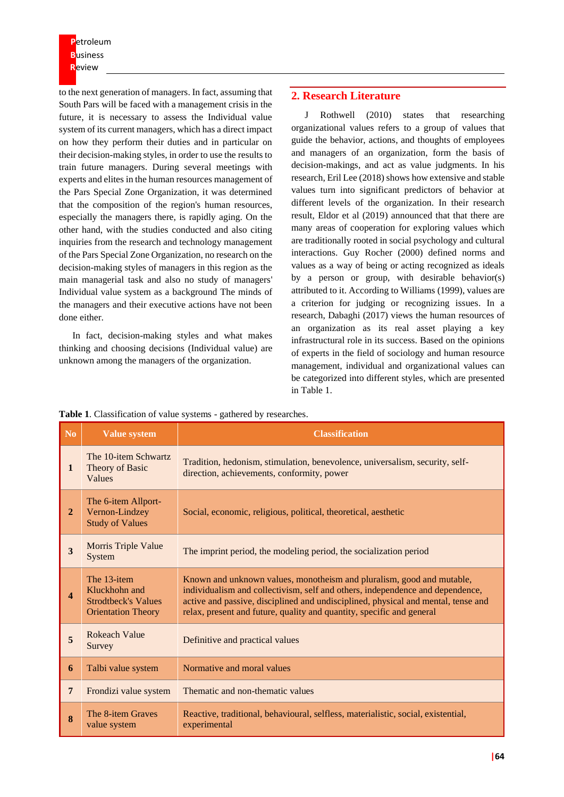**P**etroleum **B**usiness **R**eview

to the next generation of managers. In fact, assuming that South Pars will be faced with a management crisis in the future, it is necessary to assess the Individual value system of its current managers, which has a direct impact on how they perform their duties and in particular on their decision-making styles, in order to use the results to train future managers. During several meetings with experts and elites in the human resources management of the Pars Special Zone Organization, it was determined that the composition of the region's human resources, especially the managers there, is rapidly aging. On the other hand, with the studies conducted and also citing inquiries from the research and technology management of the Pars Special Zone Organization, no research on the decision-making styles of managers in this region as the main managerial task and also no study of managers' Individual value system as a background The minds of the managers and their executive actions have not been done either.

In fact, decision-making styles and what makes thinking and choosing decisions (Individual value) are unknown among the managers of the organization.

### **2. Research Literature**

J Rothwell (2010) states that researching organizational values refers to a group of values that guide the behavior, actions, and thoughts of employees and managers of an organization, form the basis of decision-makings, and act as value judgments. In his research, Eril Lee (2018) shows how extensive and stable values turn into significant predictors of behavior at different levels of the organization. In their research result, Eldor et al (2019) announced that that there are many areas of cooperation for exploring values which are traditionally rooted in social psychology and cultural interactions. Guy Rocher (2000) defined norms and values as a way of being or acting recognized as ideals by a person or group, with desirable behavior(s) attributed to it. According to Williams (1999), values are a criterion for judging or recognizing issues. In a research, Dabaghi (2017) views the human resources of an organization as its real asset playing a key infrastructural role in its success. Based on the opinions of experts in the field of sociology and human resource management, individual and organizational values can be categorized into different styles, which are presented in Table 1.

| N <sub>o</sub>          | <b>Value system</b>                                                                     | <b>Classification</b>                                                                                                                                                                                                                                                                                                |
|-------------------------|-----------------------------------------------------------------------------------------|----------------------------------------------------------------------------------------------------------------------------------------------------------------------------------------------------------------------------------------------------------------------------------------------------------------------|
| $\mathbf{1}$            | The 10-item Schwartz<br>Theory of Basic<br>Values                                       | Tradition, hedonism, stimulation, benevolence, universalism, security, self-<br>direction, achievements, conformity, power                                                                                                                                                                                           |
| $\overline{2}$          | The 6-item Allport-<br>Vernon-Lindzey<br><b>Study of Values</b>                         | Social, economic, religious, political, theoretical, aesthetic                                                                                                                                                                                                                                                       |
| $\overline{\mathbf{3}}$ | <b>Morris Triple Value</b><br>System                                                    | The imprint period, the modeling period, the socialization period                                                                                                                                                                                                                                                    |
| $\boldsymbol{4}$        | The 13-item<br>Kluckhohn and<br><b>Strodtbeck's Values</b><br><b>Orientation Theory</b> | Known and unknown values, monotheism and pluralism, good and mutable,<br>individualism and collectivism, self and others, independence and dependence,<br>active and passive, disciplined and undisciplined, physical and mental, tense and<br>relax, present and future, quality and quantity, specific and general |
| 5                       | Rokeach Value<br>Survey                                                                 | Definitive and practical values                                                                                                                                                                                                                                                                                      |
| 6                       | Talbi value system                                                                      | Normative and moral values                                                                                                                                                                                                                                                                                           |
| 7                       | Frondizi value system                                                                   | Thematic and non-thematic values                                                                                                                                                                                                                                                                                     |
| 8                       | The 8-item Graves<br>value system                                                       | Reactive, traditional, behavioural, selfless, materialistic, social, existential,<br>experimental                                                                                                                                                                                                                    |

#### **Table 1**. Classification of value systems - gathered by researches.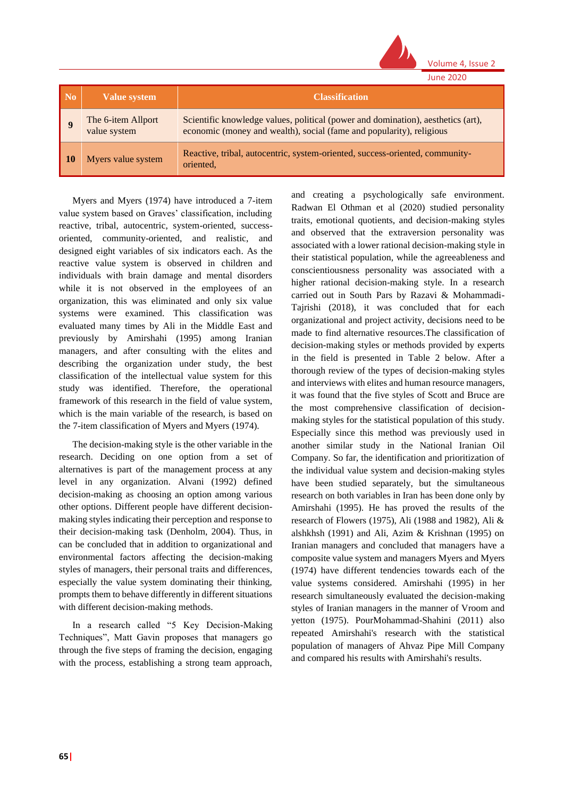

| No | <b>Value system</b>                | <b>Classification</b>                                                                                                                                    |
|----|------------------------------------|----------------------------------------------------------------------------------------------------------------------------------------------------------|
| -9 | The 6-item Allport<br>value system | Scientific knowledge values, political (power and domination), aesthetics (art),<br>economic (money and wealth), social (fame and popularity), religious |
| 10 | Myers value system                 | Reactive, tribal, autocentric, system-oriented, success-oriented, community-<br>oriented,                                                                |

Myers and Myers (1974) have introduced a 7-item value system based on Graves' classification, including reactive, tribal, autocentric, system-oriented, successoriented, community-oriented, and realistic, and designed eight variables of six indicators each. As the reactive value system is observed in children and individuals with brain damage and mental disorders while it is not observed in the employees of an organization, this was eliminated and only six value systems were examined. This classification was evaluated many times by Ali in the Middle East and previously by Amirshahi (1995) among Iranian managers, and after consulting with the elites and describing the organization under study, the best classification of the intellectual value system for this study was identified. Therefore, the operational framework of this research in the field of value system, which is the main variable of the research, is based on the 7-item classification of Myers and Myers (1974).

The decision-making style is the other variable in the research. Deciding on one option from a set of alternatives is part of the management process at any level in any organization. Alvani (1992) defined decision-making as choosing an option among various other options. Different people have different decisionmaking styles indicating their perception and response to their decision-making task (Denholm, 2004). Thus, in can be concluded that in addition to organizational and environmental factors affecting the decision-making styles of managers, their personal traits and differences, especially the value system dominating their thinking, prompts them to behave differently in different situations with different decision-making methods.

In a research called "5 Key Decision-Making Techniques", Matt Gavin proposes that managers go through the five steps of framing the decision, engaging with the process, establishing a strong team approach, and creating a psychologically safe environment. Radwan El Othman et al (2020) studied personality traits, emotional quotients, and decision-making styles and observed that the extraversion personality was associated with a lower rational decision-making style in their statistical population, while the agreeableness and conscientiousness personality was associated with a higher rational decision-making style. In a research carried out in South Pars by Razavi & Mohammadi-Tajrishi (2018), it was concluded that for each organizational and project activity, decisions need to be made to find alternative resources.The classification of decision-making styles or methods provided by experts in the field is presented in Table 2 below. After a thorough review of the types of decision-making styles and interviews with elites and human resource managers, it was found that the five styles of Scott and Bruce are the most comprehensive classification of decisionmaking styles for the statistical population of this study. Especially since this method was previously used in another similar study in the National Iranian Oil Company. So far, the identification and prioritization of the individual value system and decision-making styles have been studied separately, but the simultaneous research on both variables in Iran has been done only by Amirshahi (1995). He has proved the results of the research of Flowers (1975), Ali (1988 and 1982), Ali & alshkhsh (1991) and Ali, Azim & Krishnan (1995) on Iranian managers and concluded that managers have a composite value system and managers Myers and Myers (1974) have different tendencies towards each of the value systems considered. Amirshahi (1995) in her research simultaneously evaluated the decision-making styles of Iranian managers in the manner of Vroom and yetton (1975). PourMohammad-Shahini (2011) also repeated Amirshahi's research with the statistical population of managers of Ahvaz Pipe Mill Company and compared his results with Amirshahi's results.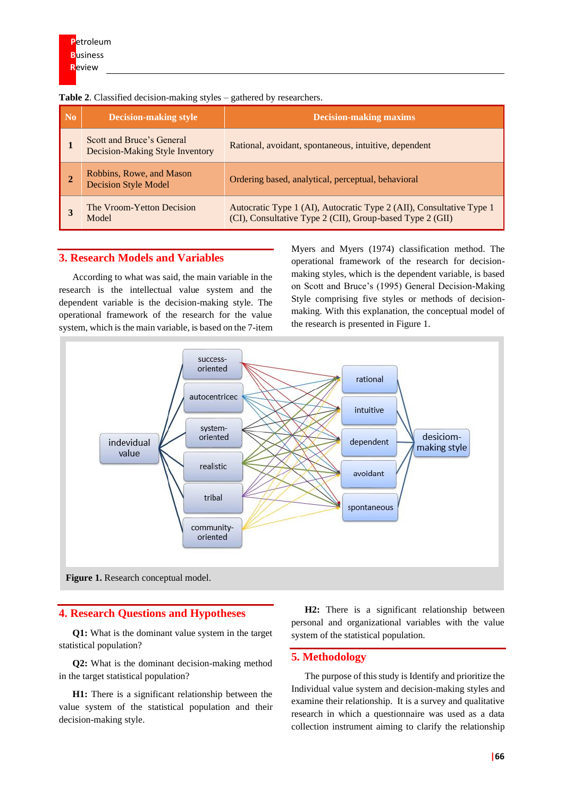| <b>No</b> | <b>Decision-making style</b>                                 | <b>Decision-making maxims</b>                                                                                                     |
|-----------|--------------------------------------------------------------|-----------------------------------------------------------------------------------------------------------------------------------|
|           | Scott and Bruce's General<br>Decision-Making Style Inventory | Rational, avoidant, spontaneous, intuitive, dependent                                                                             |
|           | Robbins, Rowe, and Mason<br><b>Decision Style Model</b>      | Ordering based, analytical, perceptual, behavioral                                                                                |
|           | The Vroom-Yetton Decision<br>Model                           | Autocratic Type 1 (AI), Autocratic Type 2 (AII), Consultative Type 1<br>(CI), Consultative Type 2 (CII), Group-based Type 2 (GII) |

**Table 2**. Classified decision-making styles – gathered by researchers.

### **3. Research Models and Variables**

According to what was said, the main variable in the research is the intellectual value system and the dependent variable is the decision-making style. The operational framework of the research for the value system, which is the main variable, is based on the 7-item Myers and Myers (1974) classification method. The operational framework of the research for decisionmaking styles, which is the dependent variable, is based on Scott and Bruce's (1995) General Decision-Making Style comprising five styles or methods of decisionmaking. With this explanation, the conceptual model of the research is presented in Figure 1.



# **4. Research Questions and Hypotheses**

**Q1:** What is the dominant value system in the target statistical population?

**Q2:** What is the dominant decision-making method in the target statistical population?

**H1:** There is a significant relationship between the value system of the statistical population and their decision-making style.

**H2:** There is a significant relationship between personal and organizational variables with the value system of the statistical population.

### **5. Methodology**

The purpose of this study is Identify and prioritize the Individual value system and decision-making styles and examine their relationship. It is a survey and qualitative research in which a questionnaire was used as a data collection instrument aiming to clarify the relationship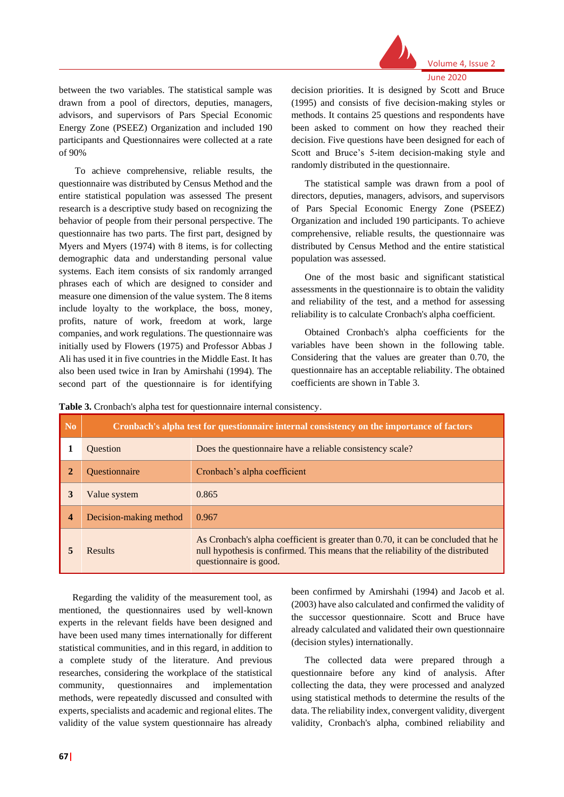

Volume 4, Issue 2

June 2020

between the two variables. The statistical sample was drawn from a pool of directors, deputies, managers, advisors, and supervisors of Pars Special Economic Energy Zone (PSEEZ) Organization and included 190 participants and Questionnaires were collected at a rate of 90%

To achieve comprehensive, reliable results, the questionnaire was distributed by Census Method and the entire statistical population was assessed The present research is a descriptive study based on recognizing the behavior of people from their personal perspective. The questionnaire has two parts. The first part, designed by Myers and Myers (1974) with 8 items, is for collecting demographic data and understanding personal value systems. Each item consists of six randomly arranged phrases each of which are designed to consider and measure one dimension of the value system. The 8 items include loyalty to the workplace, the boss, money, profits, nature of work, freedom at work, large companies, and work regulations. The questionnaire was initially used by Flowers (1975) and Professor Abbas J Ali has used it in five countries in the Middle East. It has also been used twice in Iran by Amirshahi (1994). The second part of the questionnaire is for identifying

decision priorities. It is designed by Scott and Bruce (1995) and consists of five decision-making styles or methods. It contains 25 questions and respondents have been asked to comment on how they reached their decision. Five questions have been designed for each of Scott and Bruce's 5-item decision-making style and randomly distributed in the questionnaire.

The statistical sample was drawn from a pool of directors, deputies, managers, advisors, and supervisors of Pars Special Economic Energy Zone (PSEEZ) Organization and included 190 participants. To achieve comprehensive, reliable results, the questionnaire was distributed by Census Method and the entire statistical population was assessed.

One of the most basic and significant statistical assessments in the questionnaire is to obtain the validity and reliability of the test, and a method for assessing reliability is to calculate Cronbach's alpha coefficient.

Obtained Cronbach's alpha coefficients for the variables have been shown in the following table. Considering that the values are greater than 0.70, the questionnaire has an acceptable reliability. The obtained coefficients are shown in Table 3.

| <b>No</b>      | Cronbach's alpha test for questionnaire internal consistency on the importance of factors |                                                                                                                                                                                                 |  |  |  |  |
|----------------|-------------------------------------------------------------------------------------------|-------------------------------------------------------------------------------------------------------------------------------------------------------------------------------------------------|--|--|--|--|
|                | <b>Ouestion</b>                                                                           | Does the questionnaire have a reliable consistency scale?                                                                                                                                       |  |  |  |  |
| $\overline{2}$ | <b>Ouestionnaire</b>                                                                      | Cronbach's alpha coefficient                                                                                                                                                                    |  |  |  |  |
| 3              | Value system                                                                              | 0.865                                                                                                                                                                                           |  |  |  |  |
| 4              | Decision-making method                                                                    | 0.967                                                                                                                                                                                           |  |  |  |  |
|                | <b>Results</b>                                                                            | As Cronbach's alpha coefficient is greater than 0.70, it can be concluded that he<br>null hypothesis is confirmed. This means that the reliability of the distributed<br>questionnaire is good. |  |  |  |  |

**Table 3.** Cronbach's alpha test for questionnaire internal consistency.

Regarding the validity of the measurement tool, as mentioned, the questionnaires used by well-known experts in the relevant fields have been designed and have been used many times internationally for different statistical communities, and in this regard, in addition to a complete study of the literature. And previous researches, considering the workplace of the statistical community, questionnaires and implementation methods, were repeatedly discussed and consulted with experts, specialists and academic and regional elites. The validity of the value system questionnaire has already

been confirmed by Amirshahi (1994) and Jacob et al. (2003) have also calculated and confirmed the validity of the successor questionnaire. Scott and Bruce have already calculated and validated their own questionnaire (decision styles) internationally.

The collected data were prepared through a questionnaire before any kind of analysis. After collecting the data, they were processed and analyzed using statistical methods to determine the results of the data. The reliability index, convergent validity, divergent validity, Cronbach's alpha, combined reliability and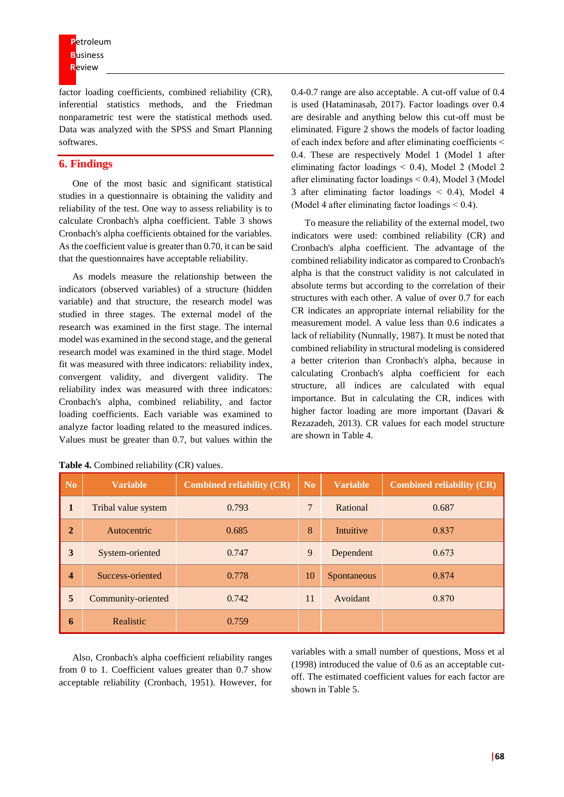factor loading coefficients, combined reliability (CR), inferential statistics methods, and the Friedman nonparametric test were the statistical methods used. Data was analyzed with the SPSS and Smart Planning softwares.

### **6. Findings**

One of the most basic and significant statistical studies in a questionnaire is obtaining the validity and reliability of the test. One way to assess reliability is to calculate Cronbach's alpha coefficient. Table 3 shows Cronbach's alpha coefficients obtained for the variables. As the coefficient value is greater than 0.70, it can be said that the questionnaires have acceptable reliability.

As models measure the relationship between the indicators (observed variables) of a structure (hidden variable) and that structure, the research model was studied in three stages. The external model of the research was examined in the first stage. The internal model was examined in the second stage, and the general research model was examined in the third stage. Model fit was measured with three indicators: reliability index, convergent validity, and divergent validity. The reliability index was measured with three indicators: Cronbach's alpha, combined reliability, and factor loading coefficients. Each variable was examined to analyze factor loading related to the measured indices. Values must be greater than 0.7, but values within the 0.4-0.7 range are also acceptable. A cut-off value of 0.4 is used (Hataminasab, 2017). Factor loadings over 0.4 are desirable and anything below this cut-off must be eliminated. Figure 2 shows the models of factor loading of each index before and after eliminating coefficients ˂ 0.4. These are respectively Model 1 (Model 1 after eliminating factor loadings  $\leq$  0.4), Model 2 (Model 2) after eliminating factor loadings  $< 0.4$ ), Model 3 (Model 3 after eliminating factor loadings  $<$  0.4), Model 4 (Model 4 after eliminating factor loadings  $\leq 0.4$ ).

To measure the reliability of the external model, two indicators were used: combined reliability (CR) and Cronbach's alpha coefficient. The advantage of the combined reliability indicator as compared to Cronbach's alpha is that the construct validity is not calculated in absolute terms but according to the correlation of their structures with each other. A value of over 0.7 for each CR indicates an appropriate internal reliability for the measurement model. A value less than 0.6 indicates a lack of reliability (Nunnally, 1987). It must be noted that combined reliability in structural modeling is considered a better criterion than Cronbach's alpha, because in calculating Cronbach's alpha coefficient for each structure, all indices are calculated with equal importance. But in calculating the CR, indices with higher factor loading are more important (Davari & Rezazadeh, 2013). CR values for each model structure are shown in Table 4.

| <b>No</b>      | <b>Variable</b>     | <b>Combined reliability (CR)</b> | N <sub>o</sub> | <b>Variable</b> | <b>Combined reliability (CR)</b> |
|----------------|---------------------|----------------------------------|----------------|-----------------|----------------------------------|
| $\mathbf{1}$   | Tribal value system | 0.793                            | $\overline{7}$ | Rational        | 0.687                            |
| $\overline{2}$ | Autocentric         | 0.685                            | 8              | Intuitive       | 0.837                            |
| 3              | System-oriented     | 0.747                            | 9              | Dependent       | 0.673                            |
| 4              | Success-oriented    | 0.778                            | 10             | Spontaneous     | 0.874                            |
| 5              | Community-oriented  | 0.742                            | 11             | Avoidant        | 0.870                            |
| 6              | Realistic           | 0.759                            |                |                 |                                  |

Table 4. Combined reliability (CR) values.

Also, Cronbach's alpha coefficient reliability ranges from 0 to 1. Coefficient values greater than 0.7 show acceptable reliability (Cronbach, 1951). However, for variables with a small number of questions, Moss et al (1998) introduced the value of 0.6 as an acceptable cutoff. The estimated coefficient values for each factor are shown in Table 5.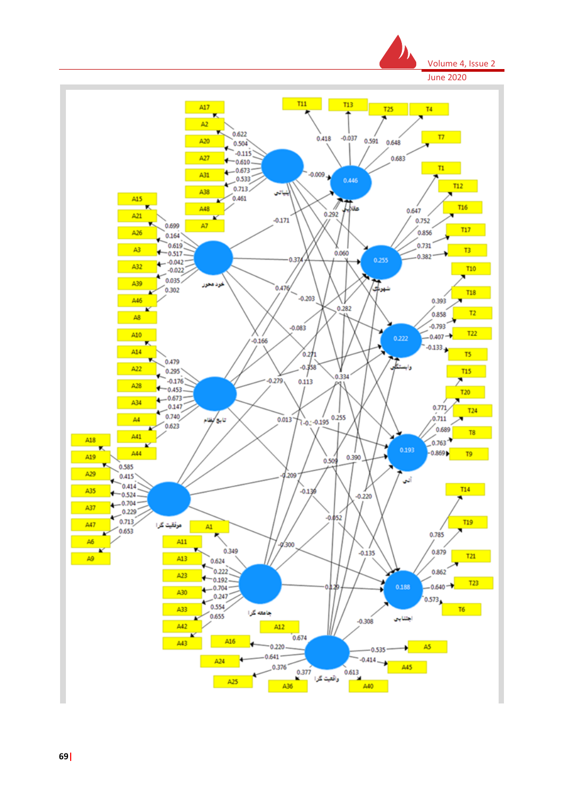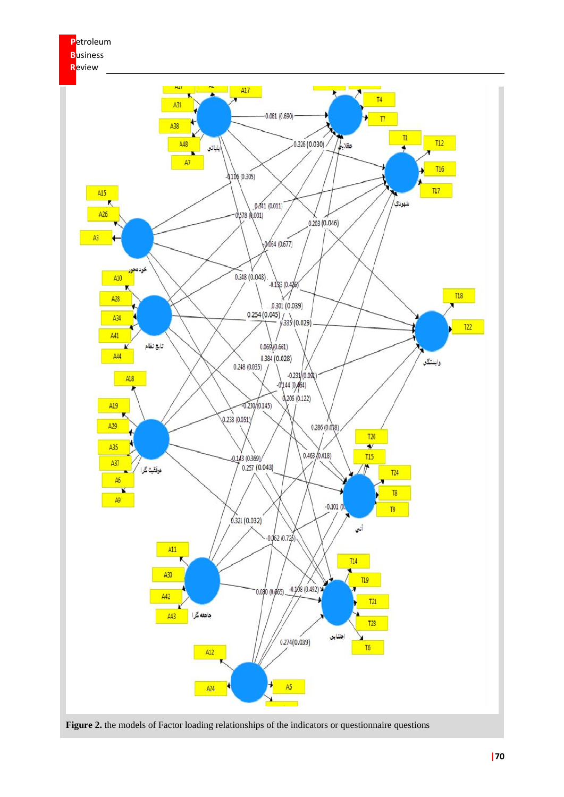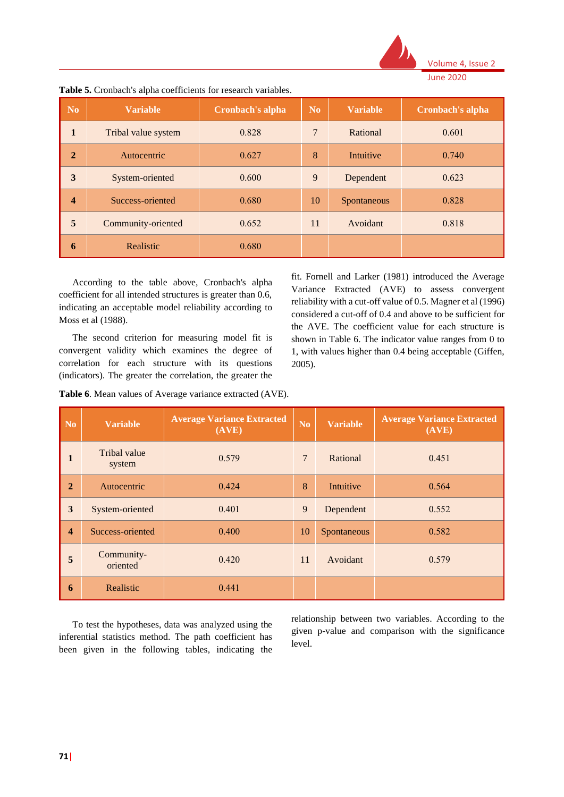

| N <sub>o</sub> | <b>Variable</b>     | Cronbach's alpha | N <sub>0</sub> | <b>Variable</b> | Cronbach's alpha |
|----------------|---------------------|------------------|----------------|-----------------|------------------|
| 1              | Tribal value system | 0.828            | 7              | Rational        | 0.601            |
| $\overline{2}$ | Autocentric         | 0.627            | 8              | Intuitive       | 0.740            |
| 3              | System-oriented     | 0.600            | 9              | Dependent       | 0.623            |
| 4              | Success-oriented    | 0.680            | 10             | Spontaneous     | 0.828            |
| 5              | Community-oriented  | 0.652            | 11             | Avoidant        | 0.818            |
| 6              | Realistic           | 0.680            |                |                 |                  |

|  | <b>Table 5.</b> Cronbach's alpha coefficients for research variables. |  |
|--|-----------------------------------------------------------------------|--|
|  |                                                                       |  |

According to the table above, Cronbach's alpha coefficient for all intended structures is greater than 0.6, indicating an acceptable model reliability according to Moss et al (1988).

The second criterion for measuring model fit is convergent validity which examines the degree of correlation for each structure with its questions (indicators). The greater the correlation, the greater the fit. Fornell and Larker (1981) introduced the Average Variance Extracted (AVE) to assess convergent reliability with a cut-off value of 0.5. Magner et al (1996) considered a cut-off of 0.4 and above to be sufficient for the AVE. The coefficient value for each structure is shown in Table 6. The indicator value ranges from 0 to 1, with values higher than 0.4 being acceptable (Giffen, 2005).

**Table 6**. Mean values of Average variance extracted (AVE).

| <b>No</b>               | <b>Variable</b>        | <b>Average Variance Extracted</b><br>(AVE) | N <sub>0</sub> | <b>Variable</b> | <b>Average Variance Extracted</b><br>(AVE) |
|-------------------------|------------------------|--------------------------------------------|----------------|-----------------|--------------------------------------------|
| 1                       | Tribal value<br>system | 0.579                                      | $\overline{7}$ | Rational        | 0.451                                      |
| $\overline{2}$          | Autocentric            | 0.424                                      |                | Intuitive       | 0.564                                      |
| 3 <sup>1</sup>          | System-oriented        | 0.401                                      | 9              | Dependent       | 0.552                                      |
| $\overline{\mathbf{4}}$ | Success-oriented       | 0.400                                      |                | Spontaneous     | 0.582                                      |
| 5                       | Community-<br>oriented | 0.420                                      | 11             | Avoidant        | 0.579                                      |
| 6                       | Realistic              | 0.441                                      |                |                 |                                            |

To test the hypotheses, data was analyzed using the inferential statistics method. The path coefficient has been given in the following tables, indicating the

relationship between two variables. According to the given p-value and comparison with the significance level.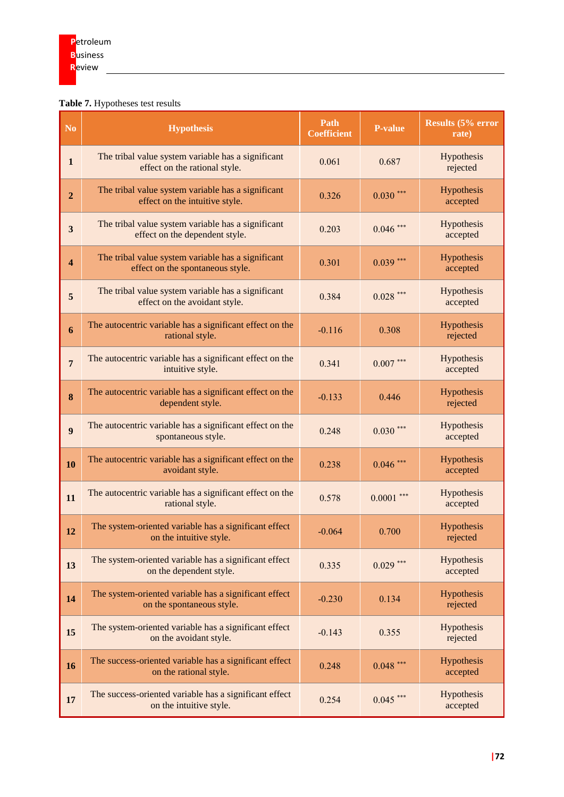# **Table 7.** Hypotheses test results

| N <sub>o</sub>          | <b>Hypothesis</b>                                                                      | Path<br><b>Coefficient</b> | <b>P-value</b> | Results (5% error<br>rate) |
|-------------------------|----------------------------------------------------------------------------------------|----------------------------|----------------|----------------------------|
| $\mathbf{1}$            | The tribal value system variable has a significant<br>effect on the rational style.    | 0.061                      | 0.687          | Hypothesis<br>rejected     |
| $\overline{2}$          | The tribal value system variable has a significant<br>effect on the intuitive style.   | 0.326                      | $0.030***$     | Hypothesis<br>accepted     |
| $\mathbf{3}$            | The tribal value system variable has a significant<br>effect on the dependent style.   | 0.203                      | $0.046$ ***    | Hypothesis<br>accepted     |
| $\overline{\mathbf{4}}$ | The tribal value system variable has a significant<br>effect on the spontaneous style. | 0.301                      | $0.039***$     | Hypothesis<br>accepted     |
| 5                       | The tribal value system variable has a significant<br>effect on the avoidant style.    | 0.384                      | $0.028$ ***    | Hypothesis<br>accepted     |
| 6                       | The autocentric variable has a significant effect on the<br>rational style.            | $-0.116$                   | 0.308          | Hypothesis<br>rejected     |
| $\overline{7}$          | The autocentric variable has a significant effect on the<br>intuitive style.           | 0.341                      | $0.007***$     | Hypothesis<br>accepted     |
| 8                       | The autocentric variable has a significant effect on the<br>dependent style.           | $-0.133$                   | 0.446          | Hypothesis<br>rejected     |
| 9                       | The autocentric variable has a significant effect on the<br>spontaneous style.         | 0.248                      | $0.030***$     | Hypothesis<br>accepted     |
| 10                      | The autocentric variable has a significant effect on the<br>avoidant style.            | 0.238                      | $0.046***$     | Hypothesis<br>accepted     |
| 11                      | The autocentric variable has a significant effect on the<br>rational style.            | 0.578                      | $0.0001$ ***   | Hypothesis<br>accepted     |
| 12                      | The system-oriented variable has a significant effect<br>on the intuitive style.       | $-0.064$                   | 0.700          | Hypothesis<br>rejected     |
| 13                      | The system-oriented variable has a significant effect<br>on the dependent style.       | 0.335                      | $0.029$ ***    | Hypothesis<br>accepted     |
| 14                      | The system-oriented variable has a significant effect<br>on the spontaneous style.     | $-0.230$                   | 0.134          | Hypothesis<br>rejected     |
| 15                      | The system-oriented variable has a significant effect<br>on the avoidant style.        | $-0.143$                   | 0.355          | Hypothesis<br>rejected     |
| 16                      | The success-oriented variable has a significant effect<br>on the rational style.       | 0.248                      | $0.048***$     | Hypothesis<br>accepted     |
| 17                      | The success-oriented variable has a significant effect<br>on the intuitive style.      | 0.254                      | ***<br>0.045   | Hypothesis<br>accepted     |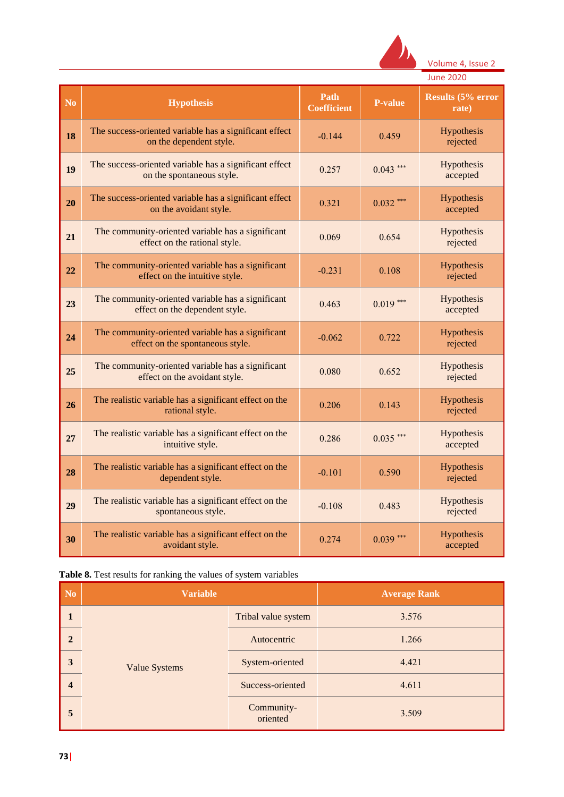

Volume 4, Issue 2

|                |                                                                                       |                            |                | <b>June 2020</b>           |
|----------------|---------------------------------------------------------------------------------------|----------------------------|----------------|----------------------------|
| N <sub>o</sub> | <b>Hypothesis</b>                                                                     | Path<br><b>Coefficient</b> | <b>P-value</b> | Results (5% error<br>rate) |
| 18             | The success-oriented variable has a significant effect<br>on the dependent style.     | $-0.144$                   | 0.459          | Hypothesis<br>rejected     |
| 19             | The success-oriented variable has a significant effect<br>on the spontaneous style.   | 0.257                      | $0.043$ ***    | Hypothesis<br>accepted     |
| 20             | The success-oriented variable has a significant effect<br>on the avoidant style.      | 0.321                      | $0.032***$     | Hypothesis<br>accepted     |
| 21             | The community-oriented variable has a significant<br>effect on the rational style.    | 0.069                      | 0.654          | Hypothesis<br>rejected     |
| 22             | The community-oriented variable has a significant<br>effect on the intuitive style.   | $-0.231$                   | 0.108          | Hypothesis<br>rejected     |
| 23             | The community-oriented variable has a significant<br>effect on the dependent style.   | 0.463                      | $0.019***$     | Hypothesis<br>accepted     |
| 24             | The community-oriented variable has a significant<br>effect on the spontaneous style. | $-0.062$                   | 0.722          | Hypothesis<br>rejected     |
| 25             | The community-oriented variable has a significant<br>effect on the avoidant style.    | 0.080                      | 0.652          | Hypothesis<br>rejected     |
| 26             | The realistic variable has a significant effect on the<br>rational style.             | 0.206                      | 0.143          | Hypothesis<br>rejected     |
| 27             | The realistic variable has a significant effect on the<br>intuitive style.            | 0.286                      | $0.035***$     | Hypothesis<br>accepted     |
| 28             | The realistic variable has a significant effect on the<br>dependent style.            | $-0.101$                   | 0.590          | Hypothesis<br>rejected     |
| 29             | The realistic variable has a significant effect on the<br>spontaneous style.          | $-0.108$                   | 0.483          | Hypothesis<br>rejected     |
| 30             | The realistic variable has a significant effect on the<br>avoidant style.             | 0.274                      | $0.039***$     | Hypothesis<br>accepted     |

# Table 8. Test results for ranking the values of system variables

| <b>No</b>      | <b>Variable</b>      |                        | <b>Average Rank</b> |
|----------------|----------------------|------------------------|---------------------|
|                |                      | Tribal value system    | 3.576               |
| $\overline{2}$ |                      | Autocentric            | 1.266               |
| 3              | <b>Value Systems</b> | System-oriented        | 4.421               |
|                |                      | Success-oriented       | 4.611               |
| 5              |                      | Community-<br>oriented | 3.509               |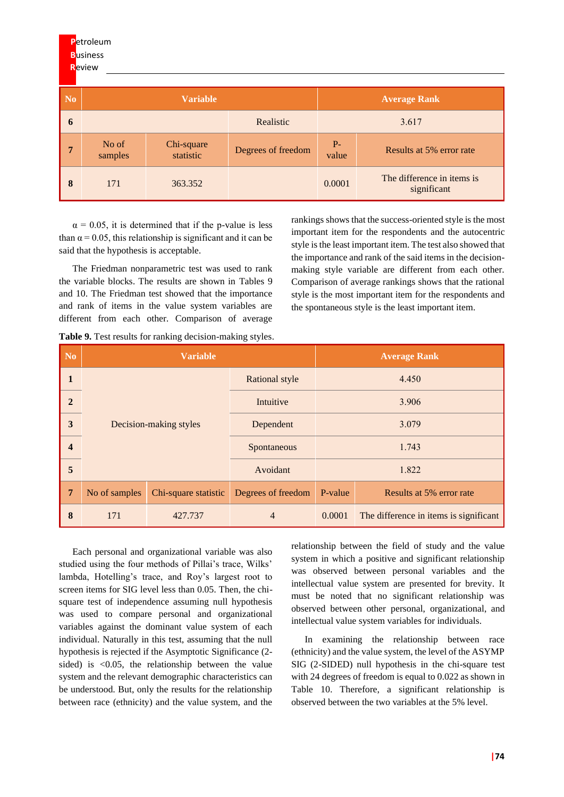|                | <b>Business</b><br>Review              |                         |                    |               |                                           |  |  |  |
|----------------|----------------------------------------|-------------------------|--------------------|---------------|-------------------------------------------|--|--|--|
| N <sub>0</sub> | <b>Variable</b><br><b>Average Rank</b> |                         |                    |               |                                           |  |  |  |
| 6              |                                        |                         | Realistic          | 3.617         |                                           |  |  |  |
| 7              | No of<br>samples                       | Chi-square<br>statistic | Degrees of freedom | $P-$<br>value | Results at 5% error rate                  |  |  |  |
| 8              | 171                                    | 363.352                 |                    | 0.0001        | The difference in items is<br>significant |  |  |  |

 $\alpha$  = 0.05, it is determined that if the p-value is less than  $\alpha$  = 0.05, this relationship is significant and it can be said that the hypothesis is acceptable.

**P**etroleum

The Friedman nonparametric test was used to rank the variable blocks. The results are shown in Tables 9 and 10. The Friedman test showed that the importance and rank of items in the value system variables are different from each other. Comparison of average rankings shows that the success-oriented style is the most important item for the respondents and the autocentric style is the least important item. The test also showed that the importance and rank of the said items in the decisionmaking style variable are different from each other. Comparison of average rankings shows that the rational style is the most important item for the respondents and the spontaneous style is the least important item.

|  |  |  |  | Table 9. Test results for ranking decision-making styles. |
|--|--|--|--|-----------------------------------------------------------|
|--|--|--|--|-----------------------------------------------------------|

| N <sub>o</sub>          | <b>Variable</b>        |                      |                    | <b>Average Rank</b>                 |                                        |  |       |
|-------------------------|------------------------|----------------------|--------------------|-------------------------------------|----------------------------------------|--|-------|
| 1                       |                        |                      | Rational style     |                                     | 4.450                                  |  |       |
| $\overline{2}$          | Decision-making styles |                      |                    |                                     | Intuitive                              |  | 3.906 |
| $\mathbf{3}$            |                        |                      | Dependent          | 3.079                               |                                        |  |       |
| $\overline{\mathbf{4}}$ |                        |                      | Spontaneous        | 1.743                               |                                        |  |       |
| 5                       |                        |                      | Avoidant           | 1.822                               |                                        |  |       |
| $\overline{7}$          | No of samples          | Chi-square statistic | Degrees of freedom | Results at 5% error rate<br>P-value |                                        |  |       |
| 8                       | 171                    | 427.737              | $\overline{4}$     | 0.0001                              | The difference in items is significant |  |       |

Each personal and organizational variable was also studied using the four methods of Pillai's trace, Wilks' lambda, Hotelling's trace, and Roy's largest root to screen items for SIG level less than 0.05. Then, the chisquare test of independence assuming null hypothesis was used to compare personal and organizational variables against the dominant value system of each individual. Naturally in this test, assuming that the null hypothesis is rejected if the Asymptotic Significance (2 sided) is <0.05, the relationship between the value system and the relevant demographic characteristics can be understood. But, only the results for the relationship between race (ethnicity) and the value system, and the relationship between the field of study and the value system in which a positive and significant relationship was observed between personal variables and the intellectual value system are presented for brevity. It must be noted that no significant relationship was observed between other personal, organizational, and intellectual value system variables for individuals.

In examining the relationship between race (ethnicity) and the value system, the level of the ASYMP SIG (2-SIDED) null hypothesis in the chi-square test with 24 degrees of freedom is equal to 0.022 as shown in Table 10. Therefore, a significant relationship is observed between the two variables at the 5% level.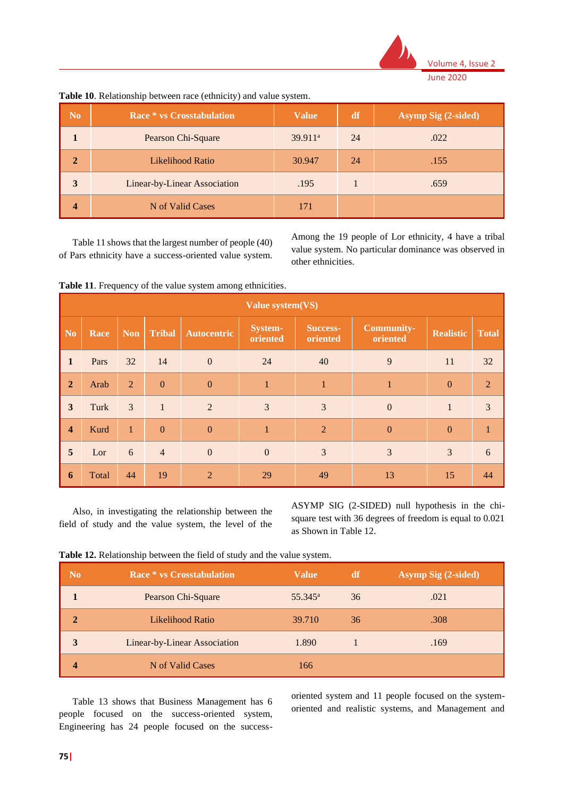

| N <sub>o</sub> | <b>Race * vs Crosstabulation</b> | <b>Value</b>        | df | Asymp Sig (2-sided) |
|----------------|----------------------------------|---------------------|----|---------------------|
|                | Pearson Chi-Square               | 39.911 <sup>a</sup> | 24 | .022                |
| $\mathbf{2}$   | Likelihood Ratio                 | 30.947              | 24 | .155                |
| 3              | Linear-by-Linear Association     | .195                |    | .659                |
| 4              | N of Valid Cases                 | 171                 |    |                     |

**Table 10**. Relationship between race (ethnicity) and value system.

Table 11 shows that the largest number of people (40) of Pars ethnicity have a success-oriented value system. Among the 19 people of Lor ethnicity, 4 have a tribal value system. No particular dominance was observed in other ethnicities.

|                         | Value system(VS) |                |                |                    |                     |                             |                               |                  |                |  |
|-------------------------|------------------|----------------|----------------|--------------------|---------------------|-----------------------------|-------------------------------|------------------|----------------|--|
| No                      | Race             | <b>Non</b>     | <b>Tribal</b>  | <b>Autocentric</b> | System-<br>oriented | <b>Success-</b><br>oriented | <b>Community-</b><br>oriented | <b>Realistic</b> | <b>Total</b>   |  |
| $\mathbf{1}$            | Pars             | 32             | 14             | $\mathbf{0}$       | 24                  | 40                          | 9                             | 11               | 32             |  |
| $\overline{2}$          | Arab             | $\overline{2}$ | $\mathbf{0}$   | $\boldsymbol{0}$   |                     | 1                           |                               | $\mathbf{0}$     | $\overline{2}$ |  |
| 3                       | Turk             | 3              | $\mathbf{1}$   | 2                  | 3                   | 3                           | $\mathbf{0}$                  | $\mathbf{1}$     | 3              |  |
| $\overline{\mathbf{4}}$ | Kurd             | 1              | $\mathbf{0}$   | $\mathbf{0}$       |                     | $\overline{2}$              | $\mathbf{0}$                  | $\mathbf{0}$     |                |  |
| 5                       | Lor              | 6              | $\overline{4}$ | $\mathbf{0}$       | $\theta$            | 3                           | 3                             | 3                | 6              |  |
| 6                       | Total            | 44             | 19             | $\overline{2}$     | 29                  | 49                          | 13                            | 15               | 44             |  |

**Table 11**. Frequency of the value system among ethnicities.

Also, in investigating the relationship between the field of study and the value system, the level of the ASYMP SIG (2-SIDED) null hypothesis in the chisquare test with 36 degrees of freedom is equal to 0.021 as Shown in Table 12.

|  | Table 12. Relationship between the field of study and the value system. |  |  |  |
|--|-------------------------------------------------------------------------|--|--|--|
|  |                                                                         |  |  |  |

| $\bf No$     | <b>Race * vs Crosstabulation</b> | <b>Value</b>     | df | Asymp Sig (2-sided) |
|--------------|----------------------------------|------------------|----|---------------------|
|              | Pearson Chi-Square               | $55.345^{\circ}$ | 36 | .021                |
| $\mathbf{2}$ | Likelihood Ratio                 | 39.710           | 36 | .308                |
| 3            | Linear-by-Linear Association     | 1.890            |    | .169                |
| 4            | N of Valid Cases                 | 166              |    |                     |

Table 13 shows that Business Management has 6 people focused on the success-oriented system, Engineering has 24 people focused on the successoriented system and 11 people focused on the systemoriented and realistic systems, and Management and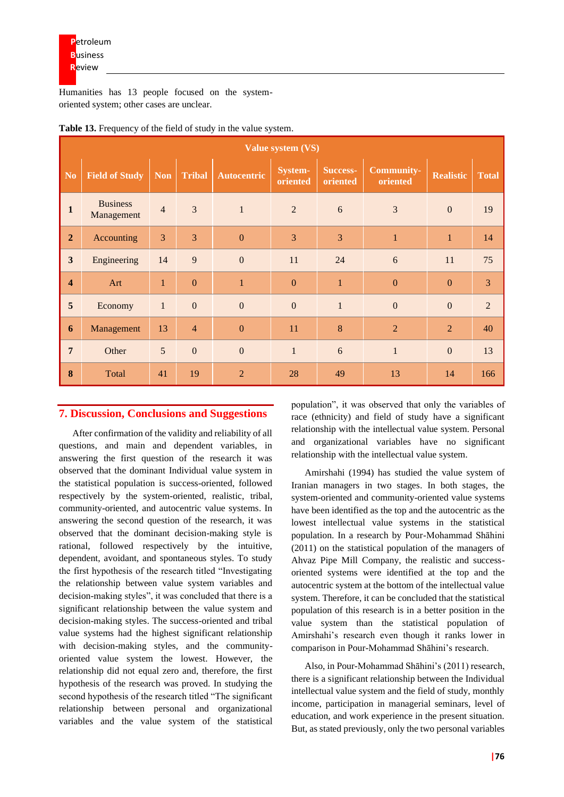Humanities has 13 people focused on the systemoriented system; other cases are unclear.

|                 | Value system (VS)             |                |                |                    |                     |                             |                               |                  |                |
|-----------------|-------------------------------|----------------|----------------|--------------------|---------------------|-----------------------------|-------------------------------|------------------|----------------|
| <b>No</b>       | <b>Field of Study</b>         | <b>Non</b>     | <b>Tribal</b>  | <b>Autocentric</b> | System-<br>oriented | <b>Success-</b><br>oriented | <b>Community-</b><br>oriented | <b>Realistic</b> | <b>Total</b>   |
| $\mathbf{1}$    | <b>Business</b><br>Management | $\overline{4}$ | 3              | $\mathbf{1}$       | $\overline{2}$      | 6                           | $\mathfrak{Z}$                | $\mathbf{0}$     | 19             |
| $\overline{2}$  | Accounting                    | $\overline{3}$ | 3              | $\overline{0}$     | 3                   | 3                           | $\mathbf{1}$                  | $\mathbf{1}$     | 14             |
| $\mathbf{3}$    | Engineering                   | 14             | 9              | $\overline{0}$     | 11                  | 24                          | 6                             | 11               | 75             |
| 4               | Art                           | $\mathbf{1}$   | $\mathbf{0}$   | $\mathbf{1}$       | $\mathbf{0}$        | 1                           | $\mathbf{0}$                  | $\mathbf{0}$     | 3              |
| 5               | Economy                       | $\mathbf{1}$   | $\mathbf{0}$   | $\overline{0}$     | $\mathbf{0}$        | $\mathbf{1}$                | $\overline{0}$                | $\mathbf{0}$     | $\overline{2}$ |
| 6               | Management                    | 13             | $\overline{4}$ | $\mathbf{0}$       | 11                  | 8                           | $\overline{2}$                | $\overline{2}$   | 40             |
| $7\phantom{.0}$ | Other                         | 5              | $\mathbf{0}$   | $\overline{0}$     | $\mathbf{1}$        | 6                           | $\mathbf{1}$                  | $\mathbf{0}$     | 13             |
| 8               | Total                         | 41             | 19             | $\overline{2}$     | 28                  | 49                          | 13                            | 14               | 166            |

| Table 13. Frequency of the field of study in the value system. |  |  |
|----------------------------------------------------------------|--|--|
|----------------------------------------------------------------|--|--|

## **7. Discussion, Conclusions and Suggestions**

After confirmation of the validity and reliability of all questions, and main and dependent variables, in answering the first question of the research it was observed that the dominant Individual value system in the statistical population is success-oriented, followed respectively by the system-oriented, realistic, tribal, community-oriented, and autocentric value systems. In answering the second question of the research, it was observed that the dominant decision-making style is rational, followed respectively by the intuitive, dependent, avoidant, and spontaneous styles. To study the first hypothesis of the research titled "Investigating the relationship between value system variables and decision-making styles", it was concluded that there is a significant relationship between the value system and decision-making styles. The success-oriented and tribal value systems had the highest significant relationship with decision-making styles, and the communityoriented value system the lowest. However, the relationship did not equal zero and, therefore, the first hypothesis of the research was proved. In studying the second hypothesis of the research titled "The significant relationship between personal and organizational variables and the value system of the statistical

population", it was observed that only the variables of race (ethnicity) and field of study have a significant relationship with the intellectual value system. Personal and organizational variables have no significant relationship with the intellectual value system.

Amirshahi (1994) has studied the value system of Iranian managers in two stages. In both stages, the system-oriented and community-oriented value systems have been identified as the top and the autocentric as the lowest intellectual value systems in the statistical population. In a research by Pour-Mohammad Shāhini (2011) on the statistical population of the managers of Ahvaz Pipe Mill Company, the realistic and successoriented systems were identified at the top and the autocentric system at the bottom of the intellectual value system. Therefore, it can be concluded that the statistical population of this research is in a better position in the value system than the statistical population of Amirshahi's research even though it ranks lower in comparison in Pour-Mohammad Shāhini's research.

Also, in Pour-Mohammad Shāhini's (2011) research, there is a significant relationship between the Individual intellectual value system and the field of study, monthly income, participation in managerial seminars, level of education, and work experience in the present situation. But, as stated previously, only the two personal variables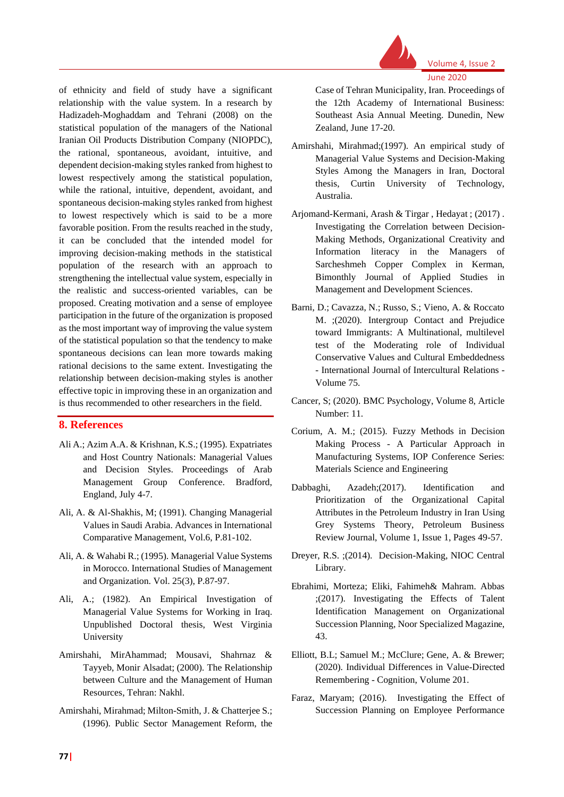

Volume 4, Issue 2 June 2020

of ethnicity and field of study have a significant relationship with the value system. In a research by Hadizadeh-Moghaddam and Tehrani (2008) on the statistical population of the managers of the National Iranian Oil Products Distribution Company (NIOPDC), the rational, spontaneous, avoidant, intuitive, and dependent decision-making styles ranked from highest to lowest respectively among the statistical population, while the rational, intuitive, dependent, avoidant, and spontaneous decision-making styles ranked from highest to lowest respectively which is said to be a more favorable position. From the results reached in the study, it can be concluded that the intended model for improving decision-making methods in the statistical population of the research with an approach to strengthening the intellectual value system, especially in the realistic and success-oriented variables, can be proposed. Creating motivation and a sense of employee participation in the future of the organization is proposed as the most important way of improving the value system of the statistical population so that the tendency to make spontaneous decisions can lean more towards making rational decisions to the same extent. Investigating the relationship between decision-making styles is another effective topic in improving these in an organization and is thus recommended to other researchers in the field.

### **8. References**

- Ali A.; Azim A.A. & Krishnan, K.S.; (1995). Expatriates and Host Country Nationals: Managerial Values and Decision Styles. Proceedings of Arab Management Group Conference. Bradford, England, July 4-7.
- Ali, A. & Al-Shakhis, M; (1991). Changing Managerial Values in Saudi Arabia. Advances in International Comparative Management, Vol.6, P.81-102.
- Ali, A. & Wahabi R.; (1995). Managerial Value Systems in Morocco. International Studies of Management and Organization. Vol. 25(3), P.87-97.
- Ali, A.; (1982). An Empirical Investigation of Managerial Value Systems for Working in Iraq. Unpublished Doctoral thesis, West Virginia University
- Amirshahi, MirAhammad; Mousavi, Shahrnaz & Tayyeb, Monir Alsadat; (2000). The Relationship between Culture and the Management of Human Resources, Tehran: Nakhl.
- Amirshahi, Mirahmad; Milton-Smith, J. & Chatterjee S.; (1996). Public Sector Management Reform, the

Case of Tehran Municipality, Iran. Proceedings of the 12th Academy of International Business: Southeast Asia Annual Meeting. Dunedin, New Zealand, June 17-20.

- Amirshahi, Mirahmad;(1997). An empirical study of Managerial Value Systems and Decision-Making Styles Among the Managers in Iran, Doctoral thesis, Curtin University of Technology, Australia.
- Arjomand-Kermani, Arash & Tirgar , Hedayat ; (2017) . Investigating the Correlation between Decision-Making Methods, Organizational Creativity and Information literacy in the Managers of Sarcheshmeh Copper Complex in Kerman, Bimonthly Journal of Applied Studies in Management and Development Sciences.
- Barni, D.; Cavazza, N.; Russo, S.; Vieno, A. & Roccato M. ;(2020). Intergroup Contact and Prejudice toward Immigrants: A Multinational, multilevel test of the Moderating role of Individual Conservative Values and Cultural Embeddedness - International Journal of Intercultural Relations - Volume 75.
- Cancer, S; (2020). BMC Psychology, Volume 8, Article Number: 11.
- Corium, A. M.; (2015). Fuzzy Methods in Decision Making Process - A Particular Approach in Manufacturing Systems, IOP Conference Series: Materials Science and Engineering
- Dabbaghi, Azadeh;(2017). Identification and Prioritization of the Organizational Capital Attributes in the Petroleum Industry in Iran Using Grey Systems Theory, Petroleum Business Review Journal, Volume 1, Issue 1, Pages 49-57.
- Dreyer, R.S. ;(2014). Decision-Making, NIOC Central Library.
- Ebrahimi, Morteza; Eliki, Fahimeh& Mahram. Abbas ;(2017). Investigating the Effects of Talent Identification Management on Organizational Succession Planning, Noor Specialized Magazine, 43.
- Elliott, B.L; Samuel M.; McClure; Gene, A. & Brewer; (2020). Individual Differences in Value-Directed Remembering - Cognition, Volume 201.
- Faraz, Maryam; (2016). Investigating the Effect of Succession Planning on Employee Performance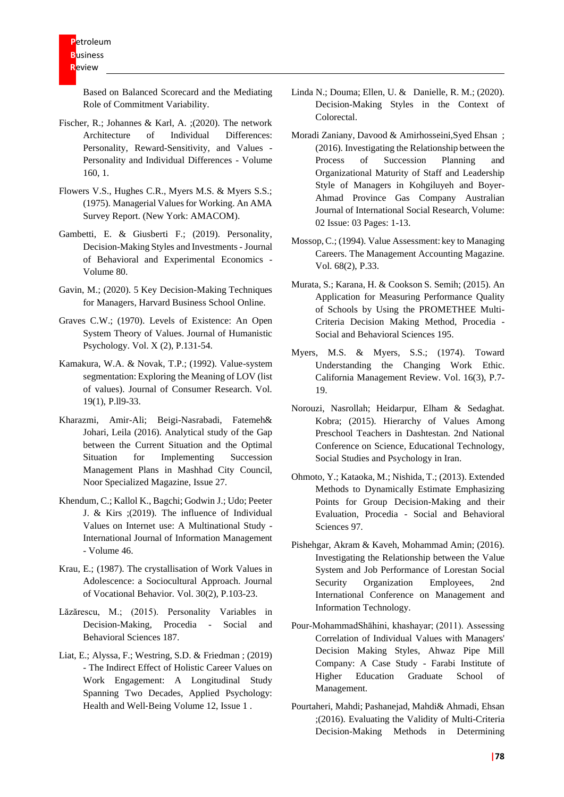Based on Balanced Scorecard and the Mediating Role of Commitment Variability.

- Fischer, R.; Johannes & Karl, A. ;(2020). The network Architecture of Individual Differences: Personality, Reward-Sensitivity, and Values - Personality and Individual Differences - Volume 160, 1.
- Flowers V.S., Hughes C.R., Myers M.S. & Myers S.S.; (1975). Managerial Values for Working. An AMA Survey Report. (New York: AMACOM).
- Gambetti, E. & Giusberti F.; (2019). Personality, Decision-Making Styles and Investments - Journal of Behavioral and Experimental Economics - Volume 80.
- Gavin, M.; (2020). 5 Key Decision-Making Techniques for Managers, Harvard Business School Online.
- Graves C.W.; (1970). Levels of Existence: An Open System Theory of Values. Journal of Humanistic Psychology. Vol. X (2), P.131-54.
- Kamakura, W.A. & Novak, T.P.; (1992). Value-system segmentation: Exploring the Meaning of LOV (list of values). Journal of Consumer Research. Vol. 19(1), P.ll9-33.
- Kharazmi, Amir-Ali; Beigi-Nasrabadi, Fatemeh& Johari, Leila (2016). Analytical study of the Gap between the Current Situation and the Optimal Situation for Implementing Succession Management Plans in Mashhad City Council, Noor Specialized Magazine, Issue 27.
- Khendum, C.; Kallol K., Bagchi; Godwin J.; Udo; Peeter J. & Kirs ;(2019). The influence of Individual Values on Internet use: A Multinational Study - International Journal of Information Management - Volume 46.
- Krau, E.; (1987). The crystallisation of Work Values in Adolescence: a Sociocultural Approach. Journal of Vocational Behavior. Vol. 30(2), P.103-23.
- Lăzărescu, M.; (2015). Personality Variables in Decision-Making, Procedia - Social and Behavioral Sciences 187.
- Liat, E.; Alyssa, F.; Westring, S.D. & Friedman ; (2019) - The Indirect Effect of Holistic Career Values on Work Engagement: A Longitudinal Study Spanning Two Decades, Applied Psychology: Health and Well‐Being Volume 12, Issue 1 .
- Linda N.; Douma; Ellen, U. & Danielle, R. M.; (2020). Decision-Making Styles in the Context of Colorectal.
- Moradi Zaniany, Davood & Amirhosseini,Syed Ehsan ; (2016). Investigating the Relationship between the Process of Succession Planning and Organizational Maturity of Staff and Leadership Style of Managers in Kohgiluyeh and Boyer-Ahmad Province Gas Company Australian Journal of International Social Research, Volume: 02 Issue: 03 Pages: 1-13.
- Mossop, C.; (1994). Value Assessment: key to Managing Careers. The Management Accounting Magazine. Vol. 68(2), P.33.
- Murata, S.; Karana, H. & Cookson S. Semih; (2015). An Application for Measuring Performance Quality of Schools by Using the PROMETHEE Multi-Criteria Decision Making Method, Procedia - Social and Behavioral Sciences 195.
- Myers, M.S. & Myers, S.S.; (1974). Toward Understanding the Changing Work Ethic. California Management Review. Vol. 16(3), P.7- 19.
- Norouzi, Nasrollah; Heidarpur, Elham & Sedaghat. Kobra; (2015). Hierarchy of Values Among Preschool Teachers in Dashtestan. 2nd National Conference on Science, Educational Technology, Social Studies and Psychology in Iran.
- Ohmoto, Y.; Kataoka, M.; Nishida, T.; (2013). Extended Methods to Dynamically Estimate Emphasizing Points for Group Decision-Making and their Evaluation, Procedia - Social and Behavioral Sciences 97.
- Pishehgar, Akram & Kaveh, Mohammad Amin; (2016). Investigating the Relationship between the Value System and Job Performance of Lorestan Social Security Organization Employees, 2nd International Conference on Management and Information Technology.
- Pour-MohammadShāhini, khashayar; (2011). Assessing Correlation of Individual Values with Managers' Decision Making Styles, Ahwaz Pipe Mill Company: A Case Study - Farabi Institute of Higher Education Graduate School of Management.
- Pourtaheri, Mahdi; Pashanejad, Mahdi& Ahmadi, Ehsan ;(2016). Evaluating the Validity of Multi-Criteria Decision-Making Methods in Determining